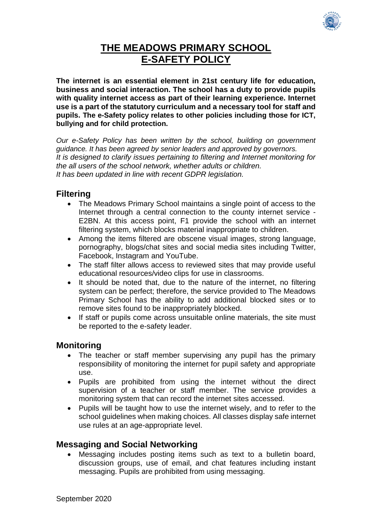

# **THE MEADOWS PRIMARY SCHOOL E-SAFETY POLICY**

**The internet is an essential element in 21st century life for education, business and social interaction. The school has a duty to provide pupils with quality internet access as part of their learning experience. Internet use is a part of the statutory curriculum and a necessary tool for staff and pupils. The e-Safety policy relates to other policies including those for ICT, bullying and for child protection.** 

*Our e-Safety Policy has been written by the school, building on government guidance. It has been agreed by senior leaders and approved by governors. It is designed to clarify issues pertaining to filtering and Internet monitoring for the all users of the school network, whether adults or children. It has been updated in line with recent GDPR legislation.* 

## **Filtering**

- The Meadows Primary School maintains a single point of access to the Internet through a central connection to the county internet service - E2BN. At this access point, F1 provide the school with an internet filtering system, which blocks material inappropriate to children.
- Among the items filtered are obscene visual images, strong language, pornography, blogs/chat sites and social media sites including Twitter, Facebook, Instagram and YouTube.
- The staff filter allows access to reviewed sites that may provide useful educational resources/video clips for use in classrooms.
- It should be noted that, due to the nature of the internet, no filtering system can be perfect; therefore, the service provided to The Meadows Primary School has the ability to add additional blocked sites or to remove sites found to be inappropriately blocked.
- If staff or pupils come across unsuitable online materials, the site must be reported to the e-safety leader.

## **Monitoring**

- The teacher or staff member supervising any pupil has the primary responsibility of monitoring the internet for pupil safety and appropriate use.
- Pupils are prohibited from using the internet without the direct supervision of a teacher or staff member. The service provides a monitoring system that can record the internet sites accessed.
- Pupils will be taught how to use the internet wisely, and to refer to the school guidelines when making choices. All classes display safe internet use rules at an age-appropriate level.

## **Messaging and Social Networking**

 Messaging includes posting items such as text to a bulletin board, discussion groups, use of email, and chat features including instant messaging. Pupils are prohibited from using messaging.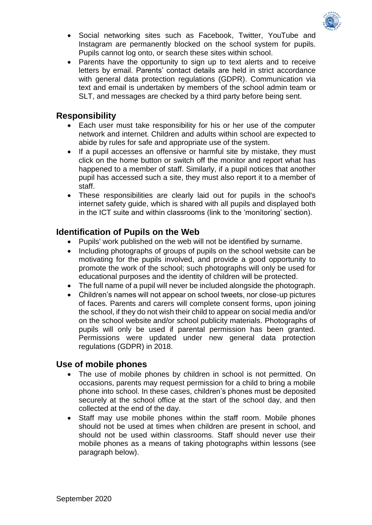

- Social networking sites such as Facebook, Twitter, YouTube and Instagram are permanently blocked on the school system for pupils. Pupils cannot log onto, or search these sites within school.
- Parents have the opportunity to sign up to text alerts and to receive letters by email. Parents' contact details are held in strict accordance with general data protection regulations (GDPR). Communication via text and email is undertaken by members of the school admin team or SLT, and messages are checked by a third party before being sent.

#### **Responsibility**

- Each user must take responsibility for his or her use of the computer network and internet. Children and adults within school are expected to abide by rules for safe and appropriate use of the system.
- If a pupil accesses an offensive or harmful site by mistake, they must click on the home button or switch off the monitor and report what has happened to a member of staff. Similarly, if a pupil notices that another pupil has accessed such a site, they must also report it to a member of staff.
- These responsibilities are clearly laid out for pupils in the school's internet safety guide, which is shared with all pupils and displayed both in the ICT suite and within classrooms (link to the 'monitoring' section).

## **Identification of Pupils on the Web**

- Pupils' work published on the web will not be identified by surname.
- Including photographs of groups of pupils on the school website can be motivating for the pupils involved, and provide a good opportunity to promote the work of the school; such photographs will only be used for educational purposes and the identity of children will be protected.
- The full name of a pupil will never be included alongside the photograph.
- Children's names will not appear on school tweets, nor close-up pictures of faces. Parents and carers will complete consent forms, upon joining the school, if they do not wish their child to appear on social media and/or on the school website and/or school publicity materials. Photographs of pupils will only be used if parental permission has been granted. Permissions were updated under new general data protection regulations (GDPR) in 2018.

## **Use of mobile phones**

- The use of mobile phones by children in school is not permitted. On occasions, parents may request permission for a child to bring a mobile phone into school. In these cases, children's phones must be deposited securely at the school office at the start of the school day, and then collected at the end of the day.
- Staff may use mobile phones within the staff room. Mobile phones should not be used at times when children are present in school, and should not be used within classrooms. Staff should never use their mobile phones as a means of taking photographs within lessons (see paragraph below).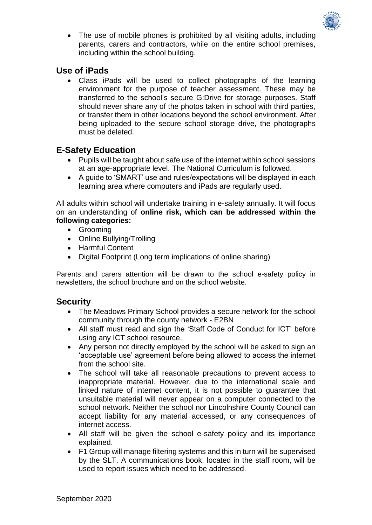

• The use of mobile phones is prohibited by all visiting adults, including parents, carers and contractors, while on the entire school premises, including within the school building.

## **Use of iPads**

 Class iPads will be used to collect photographs of the learning environment for the purpose of teacher assessment. These may be transferred to the school's secure G:Drive for storage purposes. Staff should never share any of the photos taken in school with third parties, or transfer them in other locations beyond the school environment. After being uploaded to the secure school storage drive, the photographs must be deleted.

## **E-Safety Education**

- Pupils will be taught about safe use of the internet within school sessions at an age-appropriate level. The National Curriculum is followed.
- A guide to 'SMART' use and rules/expectations will be displayed in each learning area where computers and iPads are regularly used.

All adults within school will undertake training in e-safety annually. It will focus on an understanding of **online risk, which can be addressed within the following categories:**

- Grooming
- Online Bullying/Trolling
- Harmful Content
- Digital Footprint (Long term implications of online sharing)

Parents and carers attention will be drawn to the school e-safety policy in newsletters, the school brochure and on the school website.

## **Security**

- The Meadows Primary School provides a secure network for the school community through the county network - E2BN
- All staff must read and sign the 'Staff Code of Conduct for ICT' before using any ICT school resource.
- Any person not directly employed by the school will be asked to sign an 'acceptable use' agreement before being allowed to access the internet from the school site.
- The school will take all reasonable precautions to prevent access to inappropriate material. However, due to the international scale and linked nature of internet content, it is not possible to guarantee that unsuitable material will never appear on a computer connected to the school network. Neither the school nor Lincolnshire County Council can accept liability for any material accessed, or any consequences of internet access.
- All staff will be given the school e-safety policy and its importance explained.
- F1 Group will manage filtering systems and this in turn will be supervised by the SLT. A communications book, located in the staff room, will be used to report issues which need to be addressed.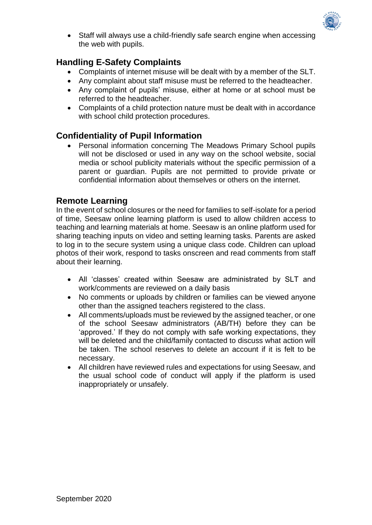

• Staff will always use a child-friendly safe search engine when accessing the web with pupils.

# **Handling E-Safety Complaints**

- Complaints of internet misuse will be dealt with by a member of the SLT.
- Any complaint about staff misuse must be referred to the headteacher.
- Any complaint of pupils' misuse, either at home or at school must be referred to the headteacher.
- Complaints of a child protection nature must be dealt with in accordance with school child protection procedures.

## **Confidentiality of Pupil Information**

 Personal information concerning The Meadows Primary School pupils will not be disclosed or used in any way on the school website, social media or school publicity materials without the specific permission of a parent or guardian. Pupils are not permitted to provide private or confidential information about themselves or others on the internet.

### **Remote Learning**

In the event of school closures or the need for families to self-isolate for a period of time, Seesaw online learning platform is used to allow children access to teaching and learning materials at home. Seesaw is an online platform used for sharing teaching inputs on video and setting learning tasks. Parents are asked to log in to the secure system using a unique class code. Children can upload photos of their work, respond to tasks onscreen and read comments from staff about their learning.

- All 'classes' created within Seesaw are administrated by SLT and work/comments are reviewed on a daily basis
- No comments or uploads by children or families can be viewed anyone other than the assigned teachers registered to the class.
- All comments/uploads must be reviewed by the assigned teacher, or one of the school Seesaw administrators (AB/TH) before they can be 'approved.' If they do not comply with safe working expectations, they will be deleted and the child/family contacted to discuss what action will be taken. The school reserves to delete an account if it is felt to be necessary.
- All children have reviewed rules and expectations for using Seesaw, and the usual school code of conduct will apply if the platform is used inappropriately or unsafely.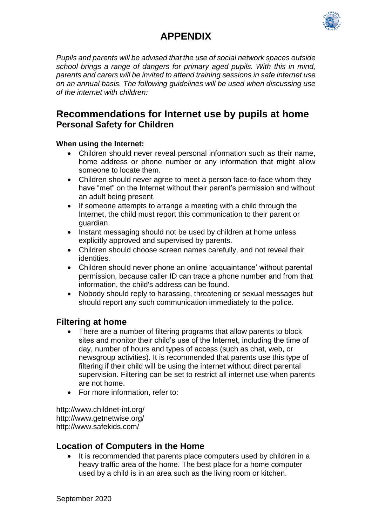

# **APPENDIX**

*Pupils and parents will be advised that the use of social network spaces outside school brings a range of dangers for primary aged pupils. With this in mind, parents and carers will be invited to attend training sessions in safe internet use on an annual basis. The following guidelines will be used when discussing use of the internet with children:*

# **Recommendations for Internet use by pupils at home Personal Safety for Children**

#### **When using the Internet:**

- Children should never reveal personal information such as their name, home address or phone number or any information that might allow someone to locate them.
- Children should never agree to meet a person face-to-face whom they have "met" on the Internet without their parent's permission and without an adult being present.
- If someone attempts to arrange a meeting with a child through the Internet, the child must report this communication to their parent or guardian.
- Instant messaging should not be used by children at home unless explicitly approved and supervised by parents.
- Children should choose screen names carefully, and not reveal their identities.
- Children should never phone an online 'acquaintance' without parental permission, because caller ID can trace a phone number and from that information, the child's address can be found.
- Nobody should reply to harassing, threatening or sexual messages but should report any such communication immediately to the police.

## **Filtering at home**

- There are a number of filtering programs that allow parents to block sites and monitor their child's use of the Internet, including the time of day, number of hours and types of access (such as chat, web, or newsgroup activities). It is recommended that parents use this type of filtering if their child will be using the internet without direct parental supervision. Filtering can be set to restrict all internet use when parents are not home.
- For more information, refer to:

http://www.childnet-int.org/ http://www.getnetwise.org/ http://www.safekids.com/

## **Location of Computers in the Home**

 It is recommended that parents place computers used by children in a heavy traffic area of the home. The best place for a home computer used by a child is in an area such as the living room or kitchen.